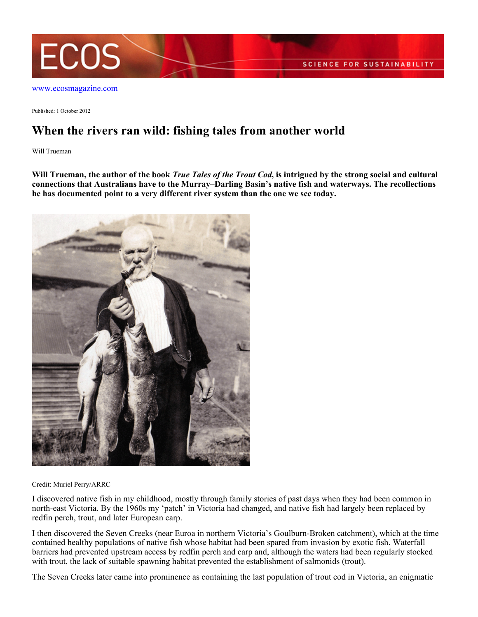

[www.ecosmagazine.com](http://www.ecosmagazine.com)

Published: 1 October 2012

## **When the rivers ran wild: fishing tales from another world**

Will Trueman

**Will Trueman, the author of the book** *True Tales of the Trout Cod***, is intrigued by the strong social and cultural connections that Australians have to the Murray–Darling Basin's native fish and waterways. The recollections he has documented point to a very different river system than the one we see today.**



Credit: Muriel Perry/ARRC

I discovered native fish in my childhood, mostly through family stories of past days when they had been common in north-east Victoria. By the 1960s my 'patch' in Victoria had changed, and native fish had largely been replaced by redfin perch, trout, and later European carp.

I then discovered the Seven Creeks (near Euroa in northern Victoria's Goulburn-Broken catchment), which at the time contained healthy populations of native fish whose habitat had been spared from invasion by exotic fish. Waterfall barriers had prevented upstream access by redfin perch and carp and, although the waters had been regularly stocked with trout, the lack of suitable spawning habitat prevented the establishment of salmonids (trout).

The Seven Creeks later came into prominence as containing the last population of trout cod in Victoria, an enigmatic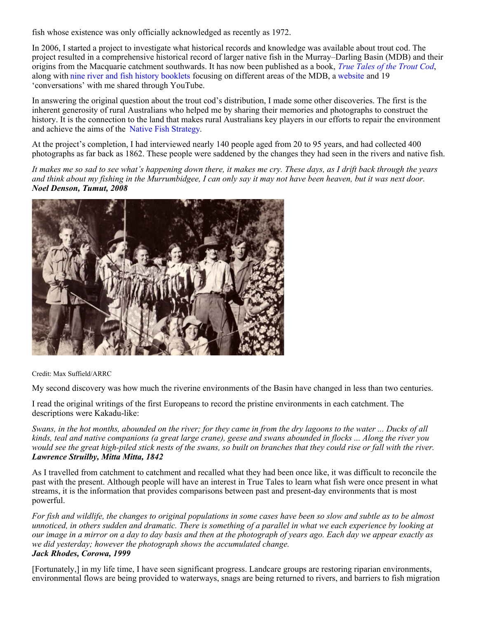fish whose existence was only officially acknowledged as recently as 1972.

In 2006, I started a project to investigate what historical records and knowledge was available about trout cod. The project resulted in a comprehensive historical record of larger native fish in the Murray–Darling Basin (MDB) and their origins from the Macquarie catchment southwards. It has now been published as a book, *[True Tales of the Trout Cod](http://australianriverrestorationcentre.com.au/mdb/troutcod/book.php)*, along with [nine river and fish history booklets](http://australianriverrestorationcentre.com.au/mdb/troutcod/booklets.php) focusing on different areas of the MDB, a [website](http://arrc.com.au/mdb/troutcod) and 19 'conversations' with me shared through YouTube.

In answering the original question about the trout cod's distribution, I made some other discoveries. The first is the inherent generosity of rural Australians who helped me by sharing their memories and photographs to construct the history. It is the connection to the land that makes rural Australians key players in our efforts to repair the environment and achieve the aims of the [Native Fish Strategy](http://www.mdba.gov.au/programs/nativefishstrategy).

At the project's completion, I had interviewed nearly 140 people aged from 20 to 95 years, and had collected 400 photographs as far back as 1862. These people were saddened by the changes they had seen in the rivers and native fish.

*It makes me so sad to see what's happening down there, it makes me cry. These days, as I drift back through the years and think about my fishing in the Murrumbidgee, I can only say it may not have been heaven, but it was next door. Noel Denson, Tumut, 2008*



Credit: Max Suffield/ARRC

My second discovery was how much the riverine environments of the Basin have changed in less than two centuries.

I read the original writings of the first Europeans to record the pristine environments in each catchment. The descriptions were Kakadu-like:

*Swans, in the hot months, abounded on the river; for they came in from the dry lagoons to the water ... Ducks of all kinds, teal and native companions (a great large crane), geese and swans abounded in flocks ... Along the river you would see the great high-piled stick nests of the swans, so built on branches that they could rise or fall with the river. Lawrence Struilby, Mitta Mitta, 1842*

As I travelled from catchment to catchment and recalled what they had been once like, it was difficult to reconcile the past with the present. Although people will have an interest in True Tales to learn what fish were once present in what streams, it is the information that provides comparisons between past and present-day environments that is most powerful.

*For fish and wildlife, the changes to original populations in some cases have been so slow and subtle as to be almost unnoticed, in others sudden and dramatic. There is something of a parallel in what we each experience by looking at our image in a mirror on a day to day basis and then at the photograph of years ago. Each day we appear exactly as we did yesterday; however the photograph shows the accumulated change. Jack Rhodes, Corowa, 1999*

[Fortunately,] in my life time, I have seen significant progress. Landcare groups are restoring riparian environments, environmental flows are being provided to waterways, snags are being returned to rivers, and barriers to fish migration